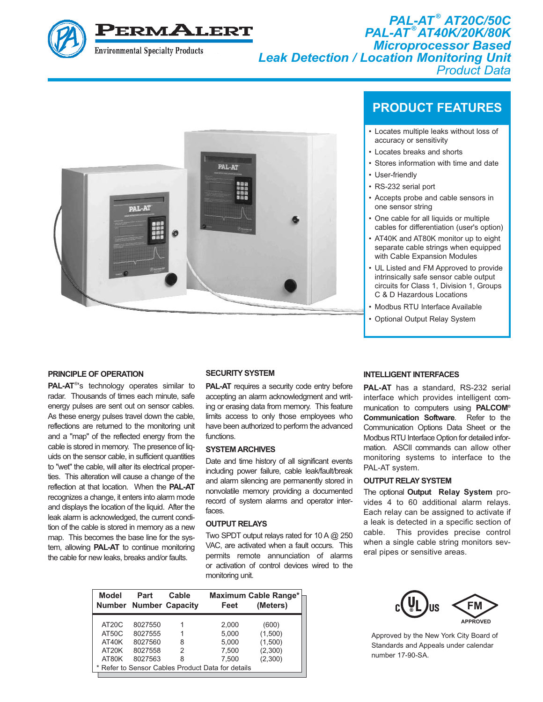

*PAL-AT ® AT20C/50C PAL-AT ® AT40K/20K/80K Microprocessor Based Leak Detection / Location Monitoring Unit Product Data*



## **PRINCIPLE OF OPERATION**

**PAL-AT<sup>®'</sup>s** technology operates similar to radar. Thousands of times each minute, safe energy pulses are sent out on sensor cables. As these energy pulses travel down the cable, reflections are returned to the monitoring unit and a "map" of the reflected energy from the cable is stored in memory. The presence of liquids on the sensor cable, in sufficient quantities to "wet" the cable, will alter its electrical properties. This alteration will cause a change of the reflection at that location. When the **PAL-AT** recognizes a change, it enters into alarm mode and displays the location of the liquid. After the leak alarm is acknowledged, the current condition of the cable is stored in memory as a new map. This becomes the base line for the system, allowing **PAL-AT** to continue monitoring the cable for new leaks, breaks and/or faults.

#### **SECURITY SYSTEM**

**PAL-AT** requires a security code entry before accepting an alarm acknowledgment and writing or erasing data from memory. This feature limits access to only those employees who have been authorized to perform the advanced functions.

#### **SYSTEM ARCHIVES**

Date and time history of all significant events including power failure, cable leak/fault/break and alarm silencing are permanently stored in nonvolatile memory providing a documented record of system alarms and operator interfaces.

### **OUTPUT RELAYS**

Two SPDT output relays rated for 10 A @ 250 VAC, are activated when a fault occurs. This permits remote annunciation of alarms or activation of control devices wired to the monitoring unit.

| Model                                                               | Part                                                | Cable<br><b>Number Number Capacity</b> | Feet                                                                                           | Maximum Cable Range*<br>(Meters)                  |
|---------------------------------------------------------------------|-----------------------------------------------------|----------------------------------------|------------------------------------------------------------------------------------------------|---------------------------------------------------|
| AT <sub>20</sub> C<br>AT50C<br>AT40K<br>AT <sub>20</sub> K<br>AT80K | 8027550<br>8027555<br>8027560<br>8027558<br>8027563 | 8<br>2<br>8                            | 2,000<br>5.000<br>5,000<br>7,500<br>7.500<br>* Refer to Sensor Cables Product Data for details | (600)<br>(1,500)<br>(1,500)<br>(2,300)<br>(2,300) |

## **PRODUCT FEATURES**

- Locates multiple leaks without loss of accuracy or sensitivity
- Locates breaks and shorts
- Stores information with time and date
- User-friendly
- RS-232 serial port
- Accepts probe and cable sensors in one sensor string
- One cable for all liquids or multiple cables for differentiation (user's option)
- AT40K and AT80K monitor up to eight separate cable strings when equipped with Cable Expansion Modules
- UL Listed and FM Approved to provide intrinsically safe sensor cable output circuits for Class 1, Division 1, Groups C & D Hazardous Locations
- Modbus RTU Interface Available
- Optional Output Relay System

## **INTELLIGENT INTERFACES**

**PAL-AT** has a standard, RS-232 serial interface which provides intelligent communication to computers using **PALCOM® Communication Software**. Refer to the Communication Options Data Sheet or the Modbus RTU Interface Option for detailed information. ASCII commands can allow other monitoring systems to interface to the PAL-AT system.

#### **OUTPUT RELAY SYSTEM**

The optional **Output Relay System** provides 4 to 60 additional alarm relays. Each relay can be assigned to activate if a leak is detected in a specific section of cable. This provides precise control when a single cable string monitors several pipes or sensitive areas.



Approved by the New York City Board of Standards and Appeals under calendar number 17-90-SA.